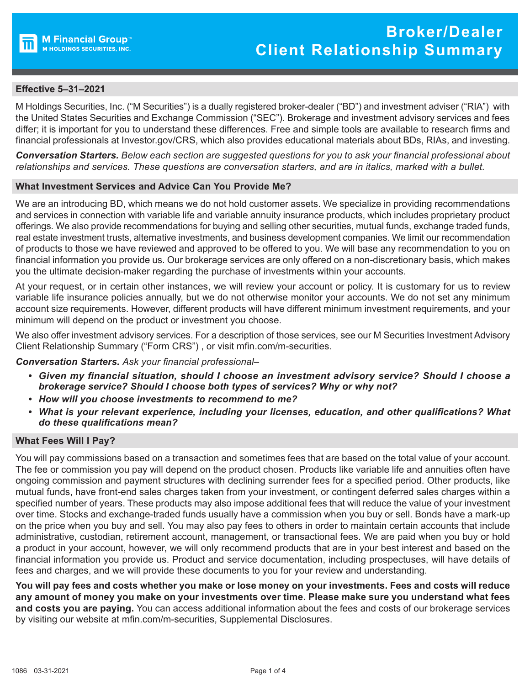

# **Effective 5–31–2021**

M Holdings Securities, Inc. ("M Securities") is a dually registered broker-dealer ("BD") and investment adviser ("RIA") with the United States Securities and Exchange Commission ("SEC"). Brokerage and investment advisory services and fees differ; it is important for you to understand these differences. Free and simple tools are available to research firms and financial professionals at Investor.gov/CRS, which also provides educational materials about BDs, RIAs, and investing.

*Conversation Starters. Below each section are suggested questions for you to ask your financial professional about relationships and services. These questions are conversation starters, and are in italics, marked with a bullet.*

## **What Investment Services and Advice Can You Provide Me?**

We are an introducing BD, which means we do not hold customer assets. We specialize in providing recommendations and services in connection with variable life and variable annuity insurance products, which includes proprietary product offerings. We also provide recommendations for buying and selling other securities, mutual funds, exchange traded funds, real estate investment trusts, alternative investments, and business development companies. We limit our recommendation of products to those we have reviewed and approved to be offered to you. We will base any recommendation to you on financial information you provide us. Our brokerage services are only offered on a non-discretionary basis, which makes you the ultimate decision-maker regarding the purchase of investments within your accounts.

At your request, or in certain other instances, we will review your account or policy. It is customary for us to review variable life insurance policies annually, but we do not otherwise monitor your accounts. We do not set any minimum account size requirements. However, different products will have different minimum investment requirements, and your minimum will depend on the product or investment you choose.

We also offer investment advisory services. For a description of those services, see our M Securities Investment Advisory Client Relationship Summary ("Form CRS") , or visi[t mfin.com/m-securities.](www.mfin.com/m-securities) 

## *Conversation Starters. Ask your financial professional–*

- *• Given my financial situation, should I choose an investment advisory service? Should I choose a brokerage service? Should I choose both types of services? Why or why not?*
- *• How will you choose investments to recommend to me?*
- *• What is your relevant experience, including your licenses, education, and other qualifications? What do these qualifications mean?*

#### **What Fees Will I Pay?**

You will pay commissions based on a transaction and sometimes fees that are based on the total value of your account. The fee or commission you pay will depend on the product chosen. Products like variable life and annuities often have ongoing commission and payment structures with declining surrender fees for a specified period. Other products, like mutual funds, have front-end sales charges taken from your investment, or contingent deferred sales charges within a specified number of years. These products may also impose additional fees that will reduce the value of your investment over time. Stocks and exchange-traded funds usually have a commission when you buy or sell. Bonds have a mark-up on the price when you buy and sell. You may also pay fees to others in order to maintain certain accounts that include administrative, custodian, retirement account, management, or transactional fees. We are paid when you buy or hold a product in your account, however, we will only recommend products that are in your best interest and based on the financial information you provide us. Product and service documentation, including prospectuses, will have details of fees and charges, and we will provide these documents to you for your review and understanding.

**You will pay fees and costs whether you make or lose money on your investments. Fees and costs will reduce any amount of money you make on your investments over time. Please make sure you understand what fees and costs you are paying.** You can access additional information about the fees and costs of our brokerage services by visiting our website at [mfin.com/m-securities,](www.mfin.com/m-securities) [Supplemental Disclosures.](https://global-uploads.webflow.com/5f4ebf41b1e71aa03010c0a7/5f7f69334def665c970ee26d_MSec_FD_Supplemental_Disclosures.pdf)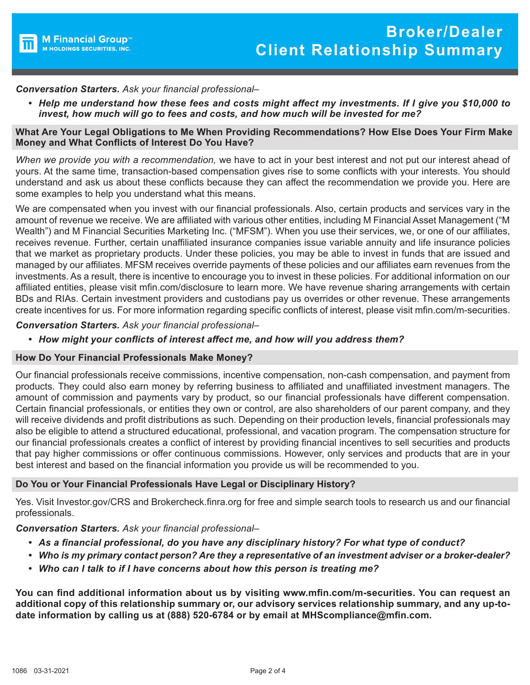

# *Conversation Starters. Ask your financial professional–*

*• Help me understand how these fees and costs might affect my investments. If I give you \$10,000 to invest, how much will go to fees and costs, and how much will be invested for me?*

### **What Are Your Legal Obligations to Me When Providing Recommendations? How Else Does Your Firm Make Money and What Conflicts of Interest Do You Have?**

*When we provide you with a recommendation,* we have to act in your best interest and not put our interest ahead of yours. At the same time, transaction-based compensation gives rise to some conflicts with your interests. You should understand and ask us about these conflicts because they can affect the recommendation we provide you. Here are some examples to help you understand what this means.

We are compensated when you invest with our financial professionals. Also, certain products and services vary in the amount of revenue we receive. We are affiliated with various other entities, including M Financial Asset Management ("M Wealth") and M Financial Securities Marketing Inc. ("MFSM"). When you use their services, we, or one of our affiliates, receives revenue. Further, certain unaffiliated insurance companies issue variable annuity and life insurance policies that we market as proprietary products. Under these policies, you may be able to invest in funds that are issued and managed by our affiliates. MFSM receives override payments of these policies and our affiliates earn revenues from the investments. As a result, there is incentive to encourage you to invest in these policies. For additional information on our affiliated entities, please visit [mfin.com/disclosure to learn more.](https://www.mfin.com/disclosure) We have revenue sharing arrangements with certain BDs and RIAs. Certain investment providers and custodians pay us overrides or other revenue. These arrangements create incentives for us. For more information regarding specific conflicts of interest, please visit [mfin.com/m-securities.](www.mfin.com/m-securities)

*Conversation Starters. Ask your financial professional–*

*• How might your conflicts of interest affect me, and how will you address them?*

## **How Do Your Financial Professionals Make Money?**

Our financial professionals receive commissions, incentive compensation, non-cash compensation, and payment from products. They could also earn money by referring business to affiliated and unaffiliated investment managers. The amount of commission and payments vary by product, so our financial professionals have different compensation. Certain financial professionals, or entities they own or control, are also shareholders of our parent company, and they will receive dividends and profit distributions as such. Depending on their production levels, financial professionals may also be eligible to attend a structured educational, professional, and vacation program. The compensation structure for our financial professionals creates a conflict of interest by providing financial incentives to sell securities and products that pay higher commissions or offer continuous commissions. However, only services and products that are in your best interest and based on the financial information you provide us will be recommended to you.

## **Do You or Your Financial Professionals Have Legal or Disciplinary History?**

Yes. Visit [Investor.gov/CRS](https://www.investor.gov/CRS) and [Brokercheck.finra.org](https://brokercheck.finra.org/) for free and simple search tools to research us and our financial professionals.

## *Conversation Starters. Ask your financial professional–*

- *• As a financial professional, do you have any disciplinary history? For what type of conduct?*
- *• Who is my primary contact person? Are they a representative of an investment adviser or a broker-dealer?*
- *• Who can I talk to if I have concerns about how this person is treating me?*

**You can find additional information about us by visiting [www.mfin.com/m-securities. Yo](http://www.mfin.com/m-securities)u can request an additional copy of this relationship summary or, our advisory services relationship summary, and any up-todate information by calling us at (888) 520-6784 or by email at [MHScompliance@mfin.com.](mailto:MHScompliance@mfin.com)**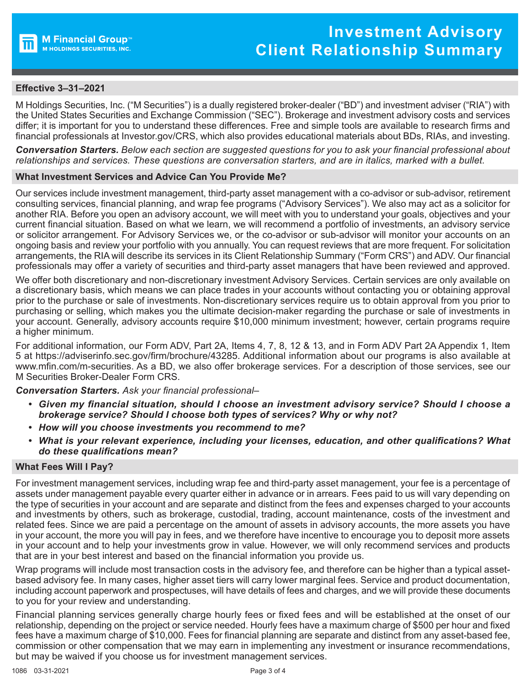

# **Effective 3–31–2021**

M Holdings Securities, Inc. ("M Securities") is a dually registered broker-dealer ("BD") and investment adviser ("RIA") with the United States Securities and Exchange Commission ("SEC"). Brokerage and investment advisory costs and services differ; it is important for you to understand these differences. Free and simple tools are available to research firms and financial professionals at Investor.gov/CRS, which also provides educational materials about BDs, RIAs, and investing.

*Conversation Starters. Below each section are suggested questions for you to ask your financial professional about relationships and services. These questions are conversation starters, and are in italics, marked with a bullet.*

#### **What Investment Services and Advice Can You Provide Me?**

Our services include investment management, third-party asset management with a co-advisor or sub-advisor, retirement consulting services, financial planning, and wrap fee programs ("Advisory Services"). We also may act as a solicitor for another RIA. Before you open an advisory account, we will meet with you to understand your goals, objectives and your current financial situation. Based on what we learn, we will recommend a portfolio of investments, an advisory service or solicitor arrangement. For Advisory Services we, or the co-advisor or sub-advisor will monitor your accounts on an ongoing basis and review your portfolio with you annually. You can request reviews that are more frequent. For solicitation arrangements, the RIA will describe its services in its Client Relationship Summary ("Form CRS") and ADV. Our financial professionals may offer a variety of securities and third-party asset managers that have been reviewed and approved.

We offer both discretionary and non-discretionary investment Advisory Services. Certain services are only available on a discretionary basis, which means we can place trades in your accounts without contacting you or obtaining approval prior to the purchase or sale of investments. Non-discretionary services require us to obtain approval from you prior to purchasing or selling, which makes you the ultimate decision-maker regarding the purchase or sale of investments in your account. Generally, advisory accounts require \$10,000 minimum investment; however, certain programs require a higher minimum.

For additional information, our Form ADV, Part 2A, Items 4, 7, 8, 12 & 13, and in Form ADV Part 2A Appendix 1, Item 5 at [https://adviserinfo.sec.gov/firm/brochure/43285. Ad](https://adviserinfo.sec.gov/firm/brochure/43285)ditional information about our programs is also available at [www.mfin.com/m-securities. As](http://www.mfin.com/m-securities) a BD, we also offer brokerage services. For a description of those services, see our M Securities Broker-Dealer Form CRS.

*Conversation Starters. Ask your financial professional–*

- *• Given my financial situation, should I choose an investment advisory service? Should I choose a brokerage service? Should I choose both types of services? Why or why not?*
- *• How will you choose investments you recommend to me?*
- *• What is your relevant experience, including your licenses, education, and other qualifications? What do these qualifications mean?*

#### **What Fees Will I Pay?**

For investment management services, including wrap fee and third-party asset management, your fee is a percentage of assets under management payable every quarter either in advance or in arrears. Fees paid to us will vary depending on the type of securities in your account and are separate and distinct from the fees and expenses charged to your accounts and investments by others, such as brokerage, custodial, trading, account maintenance, costs of the investment and related fees. Since we are paid a percentage on the amount of assets in advisory accounts, the more assets you have in your account, the more you will pay in fees, and we therefore have incentive to encourage you to deposit more assets in your account and to help your investments grow in value. However, we will only recommend services and products that are in your best interest and based on the financial information you provide us.

Wrap programs will include most transaction costs in the advisory fee, and therefore can be higher than a typical assetbased advisory fee. In many cases, higher asset tiers will carry lower marginal fees. Service and product documentation, including account paperwork and prospectuses, will have details of fees and charges, and we will provide these documents to you for your review and understanding.

Financial planning services generally charge hourly fees or fixed fees and will be established at the onset of our relationship, depending on the project or service needed. Hourly fees have a maximum charge of \$500 per hour and fixed fees have a maximum charge of \$10,000. Fees for financial planning are separate and distinct from any asset-based fee, commission or other compensation that we may earn in implementing any investment or insurance recommendations, but may be waived if you choose us for investment management services.